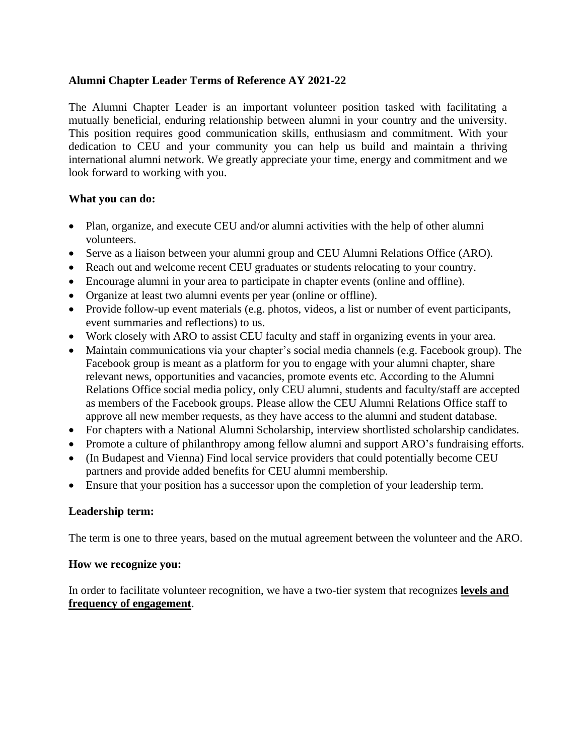## **Alumni Chapter Leader Terms of Reference AY 2021-22**

The Alumni Chapter Leader is an important volunteer position tasked with facilitating a mutually beneficial, enduring relationship between alumni in your country and the university. This position requires good communication skills, enthusiasm and commitment. With your dedication to CEU and your community you can help us build and maintain a thriving international alumni network. We greatly appreciate your time, energy and commitment and we look forward to working with you.

#### **What you can do:**

- Plan, organize, and execute CEU and/or alumni activities with the help of other alumni volunteers.
- Serve as a liaison between your alumni group and CEU Alumni Relations Office (ARO).
- Reach out and welcome recent CEU graduates or students relocating to your country.
- Encourage alumni in your area to participate in chapter events (online and offline).
- Organize at least two alumni events per year (online or offline).
- Provide follow-up event materials (e.g. photos, videos, a list or number of event participants, event summaries and reflections) to us.
- Work closely with ARO to assist CEU faculty and staff in organizing events in your area.
- Maintain communications via your chapter's social media channels (e.g. Facebook group). The Facebook group is meant as a platform for you to engage with your alumni chapter, share relevant news, opportunities and vacancies, promote events etc. According to the Alumni Relations Office social media policy, only CEU alumni, students and faculty/staff are accepted as members of the Facebook groups. Please allow the CEU Alumni Relations Office staff to approve all new member requests, as they have access to the alumni and student database.
- For chapters with a National Alumni Scholarship, interview shortlisted scholarship candidates.
- Promote a culture of philanthropy among fellow alumni and support ARO's fundraising efforts.
- (In Budapest and Vienna) Find local service providers that could potentially become CEU partners and provide added benefits for CEU alumni membership.
- Ensure that your position has a successor upon the completion of your leadership term.

## **Leadership term:**

The term is one to three years, based on the mutual agreement between the volunteer and the ARO.

#### **How we recognize you:**

In order to facilitate volunteer recognition, we have a two-tier system that recognizes **levels and frequency of engagement**.